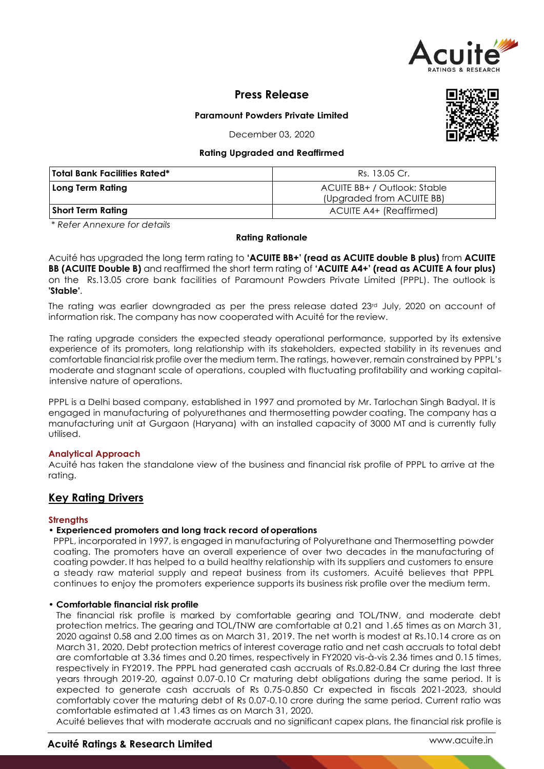

# **Press Release**

**Paramount Powders Private Limited**

December 03, 2020

### **Rating Upgraded and Reaffirmed**

| Total Bank Facilities Rated* | Rs. 13.05 Cr.                                             |
|------------------------------|-----------------------------------------------------------|
| Long Term Rating             | ACUITE BB+ / Outlook: Stable<br>(Upgraded from ACUITE BB) |
| Short Term Rating            | ACUITE A4+ (Reaffirmed)                                   |

*\* Refer Annexure for details*

#### **Rating Rationale**

Acuité has upgraded the long term rating to **'ACUITE BB+' (read as ACUITE double B plus)** from **ACUITE BB (ACUITE Double B)** and reaffirmed the short term rating of **'ACUITE A4+' (read as ACUITE A four plus)** on the Rs.13.05 crore bank facilities of Paramount Powders Private Limited (PPPL). The outlook is **'Stable'**.

The rating was earlier downgraded as per the press release dated  $23<sup>rd</sup>$  July, 2020 on account of information risk. The company has now cooperated with Acuité for the review.

The rating upgrade considers the expected steady operational performance, supported by its extensive experience of its promoters, long relationship with its stakeholders, expected stability in its revenues and comfortable financial risk profile over the medium term. The ratings, however, remain constrained by PPPL's moderate and stagnant scale of operations, coupled with fluctuating profitability and working capitalintensive nature of operations.

PPPL is a Delhi based company, established in 1997 and promoted by Mr. Tarlochan Singh Badyal. It is engaged in manufacturing of polyurethanes and thermosetting powder coating. The company has a manufacturing unit at Gurgaon (Haryana) with an installed capacity of 3000 MT and is currently fully utilised.

### **Analytical Approach**

Acuité has taken the standalone view of the business and financial risk profile of PPPL to arrive at the rating.

# **Key Rating Drivers**

### **Strengths**

# • **Experienced promoters and long track record ofoperations**

PPPL, incorporated in 1997, is engaged in manufacturing of Polyurethane and Thermosetting powder coating. The promoters have an overall experience of over two decades in the manufacturing of coating powder. It has helped to a build healthy relationship with its suppliers and customers to ensure a steady raw material supply and repeat business from its customers. Acuité believes that PPPL continues to enjoy the promoters experience supports its business risk profile over the medium term.

### • **Comfortable financial risk profile**

The financial risk profile is marked by comfortable gearing and TOL/TNW, and moderate debt protection metrics. The gearing and TOL/TNW are comfortable at 0.21 and 1.65 times as on March 31, 2020 against 0.58 and 2.00 times as on March 31, 2019. The net worth is modest at Rs.10.14 crore as on March 31, 2020. Debt protection metrics of interest coverage ratio and net cash accruals to total debt are comfortable at 3.36 times and 0.20 times, respectively in FY2020 vis-à-vis 2.36 times and 0.15 times, respectively in FY2019. The PPPL had generated cash accruals of Rs.0.82-0.84 Cr during the last three years through 2019-20, against 0.07-0.10 Cr maturing debt obligations during the same period. It is expected to generate cash accruals of Rs 0.75-0.850 Cr expected in fiscals 2021-2023, should comfortably cover the maturing debt of Rs 0.07-0.10 crore during the same period. Current ratio was comfortable estimated at 1.43 times as on March 31, 2020.

Acuité believes that with moderate accruals and no significant capex plans, the financial risk profile is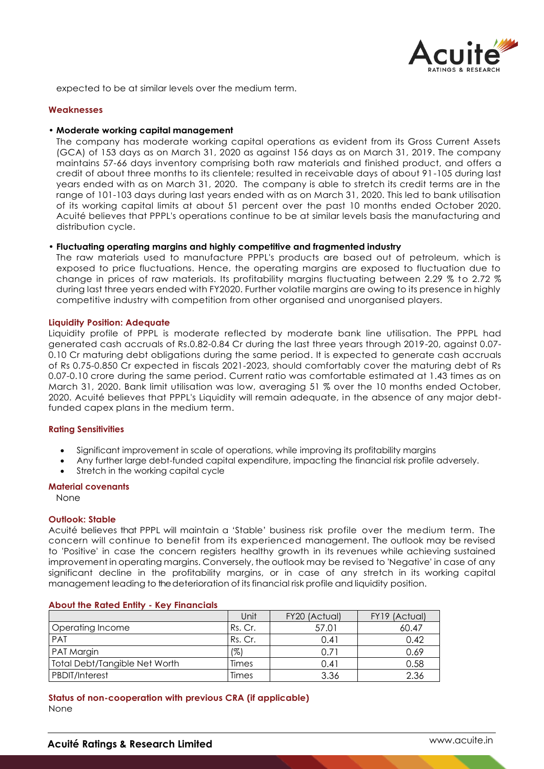

expected to be at similar levels over the medium term.

#### **Weaknesses**

#### • **Moderate working capital management**

The company has moderate working capital operations as evident from its Gross Current Assets (GCA) of 153 days as on March 31, 2020 as against 156 days as on March 31, 2019. The company maintains 57-66 days inventory comprising both raw materials and finished product, and offers a credit of about three months to its clientele; resulted in receivable days of about 91-105 during last years ended with as on March 31, 2020. The company is able to stretch its credit terms are in the range of 101-103 days during last years ended with as on March 31, 2020. This led to bank utilisation of its working capital limits at about 51 percent over the past 10 months ended October 2020. Acuité believes that PPPL's operations continue to be at similar levels basis the manufacturing and distribution cycle.

### • **Fluctuating operating margins and highly competitive and fragmented industry**

The raw materials used to manufacture PPPL's products are based out of petroleum, which is exposed to price fluctuations. Hence, the operating margins are exposed to fluctuation due to change in prices of raw materials. Its profitability margins fluctuating between 2.29 % to 2.72 % during last three years ended with FY2020. Further volatile margins are owing to its presence in highly competitive industry with competition from other organised and unorganised players.

#### **Liquidity Position: Adequate**

Liquidity profile of PPPL is moderate reflected by moderate bank line utilisation. The PPPL had generated cash accruals of Rs.0.82-0.84 Cr during the last three years through 2019-20, against 0.07- 0.10 Cr maturing debt obligations during the same period. It is expected to generate cash accruals of Rs 0.75-0.850 Cr expected in fiscals 2021-2023, should comfortably cover the maturing debt of Rs 0.07-0.10 crore during the same period. Current ratio was comfortable estimated at 1.43 times as on March 31, 2020. Bank limit utilisation was low, averaging 51 % over the 10 months ended October, 2020. Acuité believes that PPPL's Liquidity will remain adequate, in the absence of any major debtfunded capex plans in the medium term.

#### **Rating Sensitivities**

- Significant improvement in scale of operations, while improving its profitability margins
- Any further large debt-funded capital expenditure, impacting the financial risk profile adversely.
- Stretch in the working capital cycle

#### **Material covenants**

None

#### **Outlook: Stable**

Acuité believes that PPPL will maintain a 'Stable' business risk profile over the medium term. The concern will continue to benefit from its experienced management. The outlook may be revised to 'Positive' in case the concern registers healthy growth in its revenues while achieving sustained improvement in operating margins. Conversely, the outlook may be revised to 'Negative' in case of any significant decline in the profitability margins, or in case of any stretch in its working capital management leading to the deterioration of its financial risk profile and liquidity position.

|                               | Unit    | FY20 (Actual) | FY19 (Actual) |
|-------------------------------|---------|---------------|---------------|
| Operating Income              | Rs. Cr. | 57.01         | 60.47         |
| PAT                           | Rs. Cr. | 0.41          | 0.42          |
| PAT Margin                    | (%)     | 0.71          | 0.69          |
| Total Debt/Tangible Net Worth | Times   | 0.41          | 0.58          |
| PBDIT/Interest                | Times   | 3.36          | 2.36          |

#### **About the Rated Entity - Key Financials**

## **Status of non-cooperation with previous CRA (if applicable)** None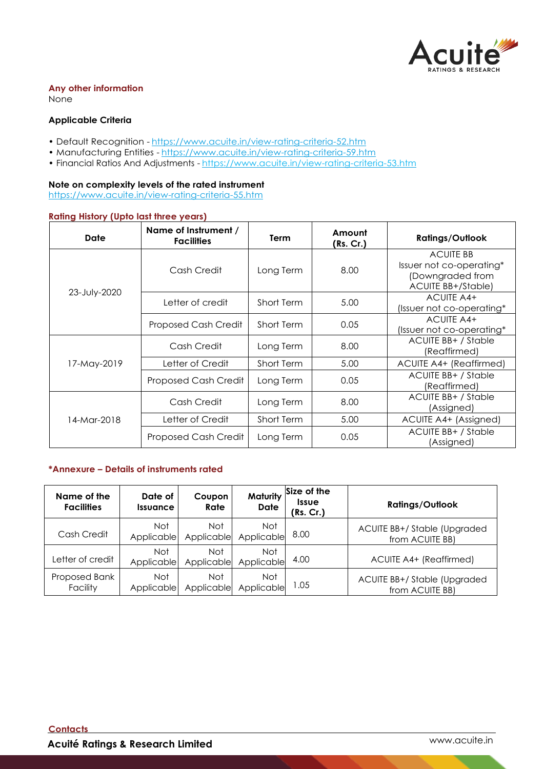

# **Any other information**

None

## **Applicable Criteria**

- Default Recognition https://www.acuite.in/view-rating-criteria-52.htm
- Manufacturing Entities https://www.acuite.in/view-rating-criteria-59.htm
- Financial Ratios And Adjustments https://www.acuite.in/view-rating-criteria-53.htm

## **Note on complexity levels of the rated instrument**

https://www.acuite.in/view-rating-criteria-55.htm

### **Rating History (Upto last three years)**

| Date         | Name of Instrument /<br><b>Facilities</b> | Term              | Amount<br>(Rs. Cr.) | <b>Ratings/Outlook</b>                         |
|--------------|-------------------------------------------|-------------------|---------------------|------------------------------------------------|
| 23-July-2020 |                                           | Long Term         | 8.00                | <b>ACUITE BB</b><br>Issuer not co-operating*   |
|              | Cash Credit                               |                   |                     | (Downgraded from<br><b>ACUITE BB+/Stable)</b>  |
|              | Letter of credit                          | Short Term        | 5.00                | <b>ACUITE A4+</b><br>(Issuer not co-operating* |
|              | Proposed Cash Credit                      | Short Term        | 0.05                | ACUITE A4+<br>(Issuer not co-operating*        |
| 17-May-2019  | Cash Credit                               | Long Term         | 8.00                | ACUITE BB+ / Stable<br>(Reaffirmed)            |
|              | Letter of Credit                          | Short Term        | 5.00                | ACUITE A4+ (Reaffirmed)                        |
|              | <b>Proposed Cash Credit</b>               | Long Term         | 0.05                | ACUITE BB+ / Stable<br>(Reaffirmed)            |
| 14-Mar-2018  | Cash Credit                               | Long Term         | 8.00                | ACUITE BB+ / Stable<br>(Assigned)              |
|              | Letter of Credit                          | <b>Short Term</b> | 5.00                | ACUITE A4+ (Assigned)                          |
|              | <b>Proposed Cash Credit</b>               | Long Term         | 0.05                | <b>ACUITE BB+ / Stable</b><br>(Assigned)       |

# **\*Annexure – Details of instruments rated**

| Name of the<br><b>Facilities</b> | Date of<br><b>Issuance</b> | Coupon<br>Rate    | Maturity<br><b>Date</b> | Size of the<br><b>Issue</b><br>(Rs. Cr.) | <b>Ratings/Outlook</b>                         |
|----------------------------------|----------------------------|-------------------|-------------------------|------------------------------------------|------------------------------------------------|
| Cash Credit                      | <b>Not</b><br>Applicable   | Not<br>Applicable | Not<br>Applicable       | 8.00                                     | ACUITE BB+/Stable (Upgraded<br>from ACUITE BB) |
| Letter of credit                 | <b>Not</b><br>Applicable   | Not<br>Applicable | Not<br>Applicable       | 4.00                                     | ACUITE A4+ (Reaffirmed)                        |
| Proposed Bank<br>Facility        | <b>Not</b><br>Applicable   | Not<br>Applicable | Not<br>Applicable       | 1.05                                     | ACUITE BB+/Stable (Upgraded<br>from ACUITE BB) |